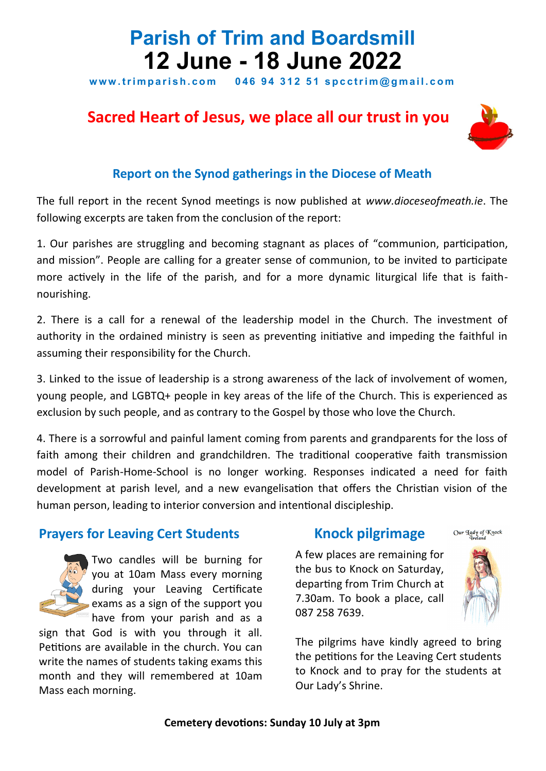# **Parish of Trim and Boardsmill 12 June - 18 June 2022**

www.trimparish.com 046 94 312 51 spcctrim@gmail.com

# **Sacred Heart of Jesus, we place all our trust in you**



### **Report on the Synod gatherings in the Diocese of Meath**

The full report in the recent Synod meetings is now published at *www.dioceseofmeath.ie*. The following excerpts are taken from the conclusion of the report:

1. Our parishes are struggling and becoming stagnant as places of "communion, participation, and mission". People are calling for a greater sense of communion, to be invited to participate more actively in the life of the parish, and for a more dynamic liturgical life that is faithnourishing.

2. There is a call for a renewal of the leadership model in the Church. The investment of authority in the ordained ministry is seen as preventing initiative and impeding the faithful in assuming their responsibility for the Church.

3. Linked to the issue of leadership is a strong awareness of the lack of involvement of women, young people, and LGBTQ+ people in key areas of the life of the Church. This is experienced as exclusion by such people, and as contrary to the Gospel by those who love the Church.

4. There is a sorrowful and painful lament coming from parents and grandparents for the loss of faith among their children and grandchildren. The traditional cooperative faith transmission model of Parish-Home-School is no longer working. Responses indicated a need for faith development at parish level, and a new evangelisation that offers the Christian vision of the human person, leading to interior conversion and intentional discipleship.

# **Prayers for Leaving Cert Students**



Two candles will be burning for you at 10am Mass every morning during your Leaving Certificate exams as a sign of the support you have from your parish and as a

sign that God is with you through it all. Petitions are available in the church. You can write the names of students taking exams this month and they will remembered at 10am Mass each morning.

# **Knock pilgrimage**

A few places are remaining for the bus to Knock on Saturday, departing from Trim Church at 7.30am. To book a place, call 087 258 7639.



Our Agdy of Knock

The pilgrims have kindly agreed to bring the petitions for the Leaving Cert students to Knock and to pray for the students at Our Lady's Shrine.